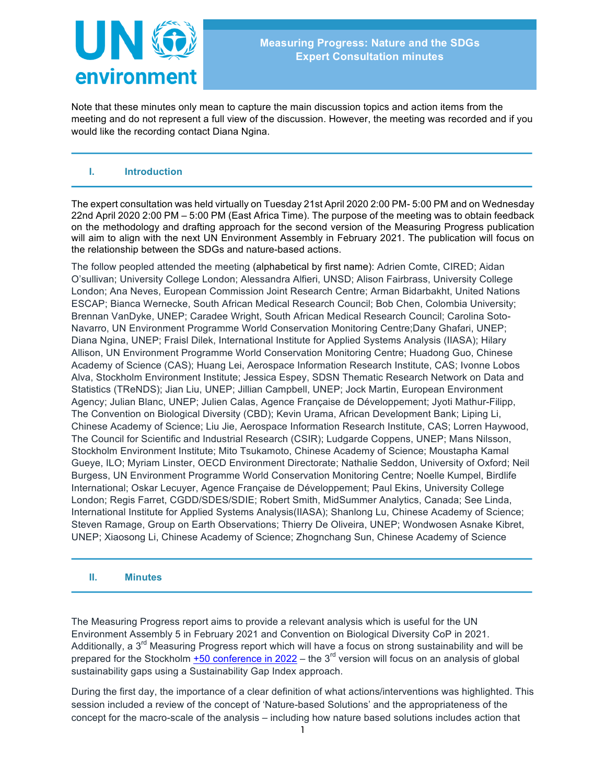

Note that these minutes only mean to capture the main discussion topics and action items from the meeting and do not represent a full view of the discussion. However, the meeting was recorded and if you would like the recording contact Diana Ngina.

## **I. Introduction**

The expert consultation was held virtually on Tuesday 21st April 2020 2:00 PM- 5:00 PM and on Wednesday 22nd April 2020 2:00 PM – 5:00 PM (East Africa Time). The purpose of the meeting was to obtain feedback on the methodology and drafting approach for the second version of the Measuring Progress publication will aim to align with the next UN Environment Assembly in February 2021. The publication will focus on the relationship between the SDGs and nature-based actions.

The follow peopled attended the meeting (alphabetical by first name): Adrien Comte, CIRED; Aidan O'sullivan; University College London; Alessandra Alfieri, UNSD; Alison Fairbrass, University College London; Ana Neves, European Commission Joint Research Centre; Arman Bidarbakht, United Nations ESCAP; Bianca Wernecke, South African Medical Research Council; Bob Chen, Colombia University; Brennan VanDyke, UNEP; Caradee Wright, South African Medical Research Council; Carolina Soto-Navarro, UN Environment Programme World Conservation Monitoring Centre;Dany Ghafari, UNEP; Diana Ngina, UNEP; Fraisl Dilek, International Institute for Applied Systems Analysis (IIASA); Hilary Allison, UN Environment Programme World Conservation Monitoring Centre; Huadong Guo, Chinese Academy of Science (CAS); Huang Lei, Aerospace Information Research Institute, CAS; Ivonne Lobos Alva, Stockholm Environment Institute; Jessica Espey, SDSN Thematic Research Network on Data and Statistics (TReNDS); Jian Liu, UNEP; Jillian Campbell, UNEP; Jock Martin, European Environment Agency; Julian Blanc, UNEP; Julien Calas, Agence Française de Développement; Jyoti Mathur-Filipp, The Convention on Biological Diversity (CBD); Kevin Urama, African Development Bank; Liping Li, Chinese Academy of Science; Liu Jie, Aerospace Information Research Institute, CAS; Lorren Haywood, The Council for Scientific and Industrial Research (CSIR); Ludgarde Coppens, UNEP; Mans Nilsson, Stockholm Environment Institute; Mito Tsukamoto, Chinese Academy of Science; Moustapha Kamal Gueye, ILO; Myriam Linster, OECD Environment Directorate; Nathalie Seddon, University of Oxford; Neil Burgess, UN Environment Programme World Conservation Monitoring Centre; Noelle Kumpel, Birdlife International; Oskar Lecuyer, Agence Française de Développement; Paul Ekins, University College London; Regis Farret, CGDD/SDES/SDIE; Robert Smith, MidSummer Analytics, Canada; See Linda, International Institute for Applied Systems Analysis(IIASA); Shanlong Lu, Chinese Academy of Science; Steven Ramage, Group on Earth Observations; Thierry De Oliveira, UNEP; Wondwosen Asnake Kibret, UNEP; Xiaosong Li, Chinese Academy of Science; Zhognchang Sun, Chinese Academy of Science

## **II. Minutes**

The Measuring Progress report aims to provide a relevant analysis which is useful for the UN Environment Assembly 5 in February 2021 and Convention on Biological Diversity CoP in 2021. Additionally, a  $3<sup>rd</sup>$  Measuring Progress report which will have a focus on strong sustainability and will be prepared for the Stockholm  $+50$  conference in 2022 – the  $3<sup>rd</sup>$  version will focus on an analysis of global sustainability gaps using a Sustainability Gap Index approach.

During the first day, the importance of a clear definition of what actions/interventions was highlighted. This session included a review of the concept of 'Nature-based Solutions' and the appropriateness of the concept for the macro-scale of the analysis – including how nature based solutions includes action that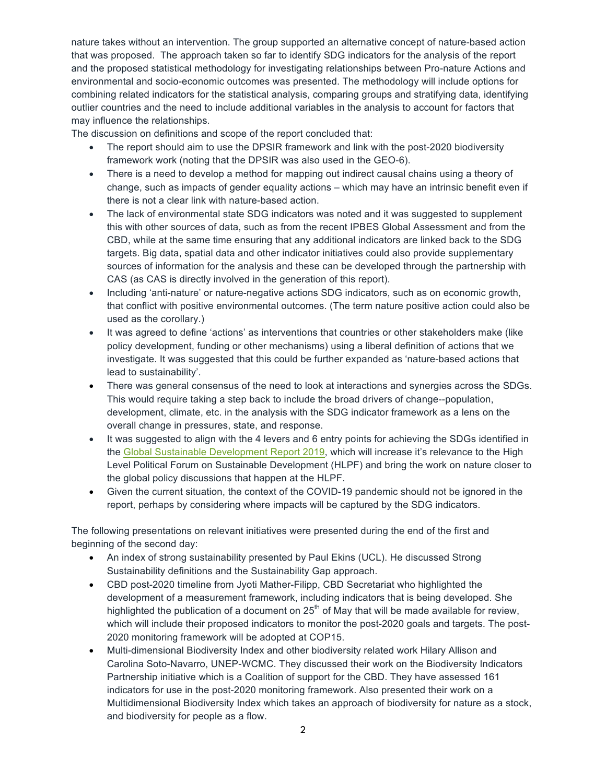nature takes without an intervention. The group supported an alternative concept of nature-based action that was proposed. The approach taken so far to identify SDG indicators for the analysis of the report and the proposed statistical methodology for investigating relationships between Pro-nature Actions and environmental and socio-economic outcomes was presented. The methodology will include options for combining related indicators for the statistical analysis, comparing groups and stratifying data, identifying outlier countries and the need to include additional variables in the analysis to account for factors that may influence the relationships.

The discussion on definitions and scope of the report concluded that:

- The report should aim to use the DPSIR framework and link with the post-2020 biodiversity framework work (noting that the DPSIR was also used in the GEO-6).
- There is a need to develop a method for mapping out indirect causal chains using a theory of change, such as impacts of gender equality actions – which may have an intrinsic benefit even if there is not a clear link with nature-based action.
- The lack of environmental state SDG indicators was noted and it was suggested to supplement this with other sources of data, such as from the recent IPBES Global Assessment and from the CBD, while at the same time ensuring that any additional indicators are linked back to the SDG targets. Big data, spatial data and other indicator initiatives could also provide supplementary sources of information for the analysis and these can be developed through the partnership with CAS (as CAS is directly involved in the generation of this report).
- Including 'anti-nature' or nature-negative actions SDG indicators, such as on economic growth, that conflict with positive environmental outcomes. (The term nature positive action could also be used as the corollary.)
- It was agreed to define 'actions' as interventions that countries or other stakeholders make (like policy development, funding or other mechanisms) using a liberal definition of actions that we investigate. It was suggested that this could be further expanded as 'nature-based actions that lead to sustainability'.
- There was general consensus of the need to look at interactions and synergies across the SDGs. This would require taking a step back to include the broad drivers of change--population, development, climate, etc. in the analysis with the SDG indicator framework as a lens on the overall change in pressures, state, and response.
- It was suggested to align with the 4 levers and 6 entry points for achieving the SDGs identified in the Global Sustainable Development Report 2019, which will increase it's relevance to the High Level Political Forum on Sustainable Development (HLPF) and bring the work on nature closer to the global policy discussions that happen at the HLPF.
- Given the current situation, the context of the COVID-19 pandemic should not be ignored in the report, perhaps by considering where impacts will be captured by the SDG indicators.

The following presentations on relevant initiatives were presented during the end of the first and beginning of the second day:

- An index of strong sustainability presented by Paul Ekins (UCL). He discussed Strong Sustainability definitions and the Sustainability Gap approach.
- CBD post-2020 timeline from Jyoti Mather-Filipp, CBD Secretariat who highlighted the development of a measurement framework, including indicators that is being developed. She highlighted the publication of a document on  $25<sup>th</sup>$  of May that will be made available for review, which will include their proposed indicators to monitor the post-2020 goals and targets. The post-2020 monitoring framework will be adopted at COP15.
- Multi-dimensional Biodiversity Index and other biodiversity related work Hilary Allison and Carolina Soto-Navarro, UNEP-WCMC. They discussed their work on the Biodiversity Indicators Partnership initiative which is a Coalition of support for the CBD. They have assessed 161 indicators for use in the post-2020 monitoring framework. Also presented their work on a Multidimensional Biodiversity Index which takes an approach of biodiversity for nature as a stock, and biodiversity for people as a flow.